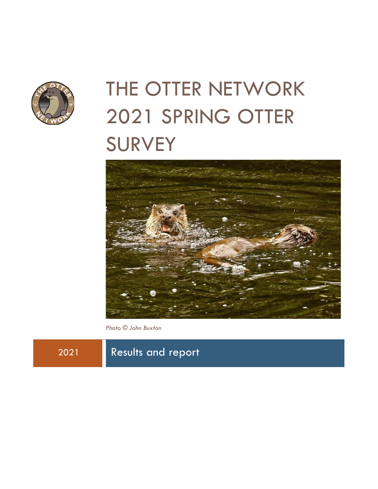

# THE OTTER NETWORK 2021 SPRING OTTER **SURVEY**



*Photo © John Buxton*

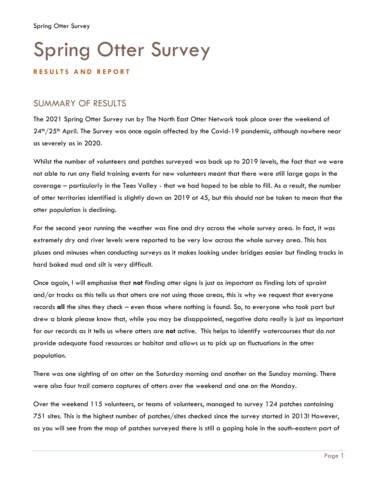### **R E S U L T S A N D R E P O R T**

## SUMMARY OF RESULTS

The 2021 Spring Otter Survey run by The North East Otter Network took place over the weekend of 24<sup>th</sup>/25<sup>th</sup> April. The Survey was once again affected by the Covid-19 pandemic, although nowhere near as severely as in 2020.

Whilst the number of volunteers and patches surveyed was back up to 2019 levels, the fact that we were not able to run any field training events for new volunteers meant that there were still large gaps in the coverage – particularly in the Tees Valley - that we had hoped to be able to fill. As a result, the number of otter territories identified is slightly down on 2019 at 45, but this should not be taken to mean that the otter population is declining.

For the second year running the weather was fine and dry across the whole survey area. In fact, it was extremely dry and river levels were reported to be very low across the whole survey area. This has pluses and minuses when conducting surveys as it makes looking under bridges easier but finding tracks in hard baked mud and silt is very difficult.

Once again, I will emphasise that **not** finding otter signs is just as important as finding lots of spraint and/or tracks as this tells us that otters are not using those areas, this is why we request that everyone records **all** the sites they check – even those where nothing is found. So, to everyone who took part but drew a blank please know that, while you may be disappointed, negative data really is just as important for our records as it tells us where otters are **not** active. This helps to identify watercourses that do not provide adequate food resources or habitat and allows us to pick up on fluctuations in the otter population.

There was one sighting of an otter on the Saturday morning and another on the Sunday morning. There were also four trail camera captures of otters over the weekend and one on the Monday.

Over the weekend 115 volunteers, or teams of volunteers, managed to survey 124 patches containing 751 sites. This is the highest number of patches/sites checked since the survey started in 2013! However, as you will see from the map of patches surveyed there is still a gaping hole in the south-eastern part of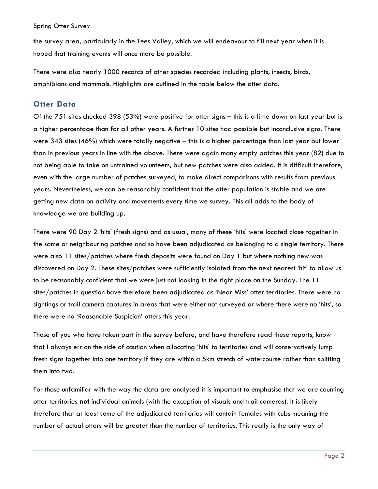the survey area, particularly in the Tees Valley, which we will endeavour to fill next year when it is hoped that training events will once more be possible.

There were also nearly 1000 records of other species recorded including plants, insects, birds, amphibians and mammals. Highlights are outlined in the table below the otter data.

## **Otter Data**

Of the 751 sites checked 398 (53%) were positive for otter signs – this is a little down on last year but is a higher percentage than for all other years. A further 10 sites had possible but inconclusive signs. There were 343 sites (46%) which were totally negative – this is a higher percentage than last year but lower than in previous years in line with the above. There were again many empty patches this year (82) due to not being able to take on untrained volunteers, but new patches were also added. It is difficult therefore, even with the large number of patches surveyed, to make direct comparisons with results from previous years. Nevertheless, we can be reasonably confident that the otter population is stable and we are getting new data on activity and movements every time we survey. This all adds to the body of knowledge we are building up.

There were 90 Day 2 'hits' (fresh signs) and as usual, many of these 'hits' were located close together in the same or neighbouring patches and so have been adjudicated as belonging to a single territory. There were also 11 sites/patches where fresh deposits were found on Day 1 but where nothing new was discovered on Day 2. These sites/patches were sufficiently isolated from the next nearest 'hit' to allow us to be reasonably confident that we were just not looking in the right place on the Sunday. The 11 sites/patches in question have therefore been adjudicated as 'Near Miss' otter territories. There were no sightings or trail camera captures in areas that were either not surveyed or where there were no 'hits', so there were no 'Reasonable Suspicion' otters this year.

Those of you who have taken part in the survey before, and have therefore read these reports, know that I always err on the side of caution when allocating 'hits' to territories and will conservatively lump fresh signs together into one territory if they are within a 5km stretch of watercourse rather than splitting them into two.

For those unfamiliar with the way the data are analysed it is important to emphasise that we are counting otter territories **not** individual animals (with the exception of visuals and trail cameras). It is likely therefore that at least some of the adjudicated territories will contain females with cubs meaning the number of actual otters will be greater than the number of territories. This really is the only way of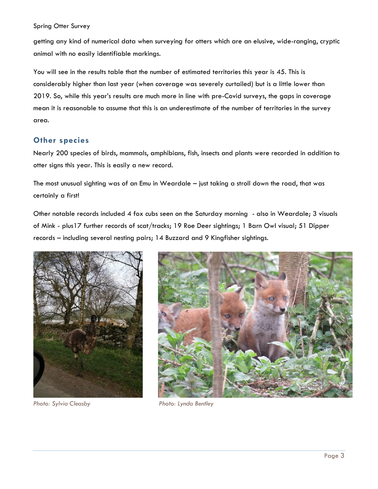getting any kind of numerical data when surveying for otters which are an elusive, wide-ranging, cryptic animal with no easily identifiable markings.

You will see in the results table that the number of estimated territories this year is 45. This is considerably higher than last year (when coverage was severely curtailed) but is a little lower than 2019. So, while this year's results are much more in line with pre-Covid surveys, the gaps in coverage mean it is reasonable to assume that this is an underestimate of the number of territories in the survey area.

#### **Other species**

Nearly 200 species of birds, mammals, amphibians, fish, insects and plants were recorded in addition to otter signs this year. This is easily a new record.

The most unusual sighting was of an Emu in Weardale – just taking a stroll down the road, that was certainly a first!

Other notable records included 4 fox cubs seen on the Saturday morning - also in Weardale; 3 visuals of Mink - plus17 further records of scat/tracks; 19 Roe Deer sightings; 1 Barn Owl visual; 51 Dipper records – including several nesting pairs; 14 Buzzard and 9 Kingfisher sightings.





*Photo: Sylvia Cleasby Photo: Lynda Bentley*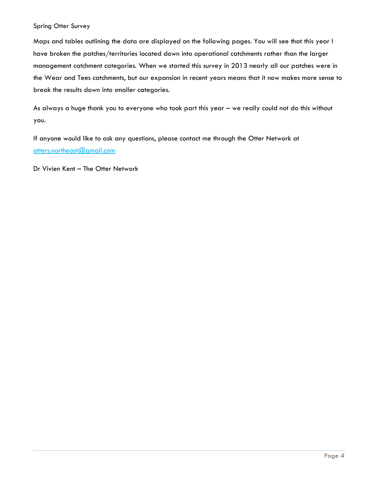Maps and tables outlining the data are displayed on the following pages. You will see that this year I have broken the patches/territories located down into operational catchments rather than the larger management catchment categories. When we started this survey in 2013 nearly all our patches were in the Wear and Tees catchments, but our expansion in recent years means that it now makes more sense to break the results down into smaller categories.

As always a huge thank you to everyone who took part this year – we really could not do this without you.

If anyone would like to ask any questions, please contact me through the Otter Network at [otters.northeast@gmail.com](mailto:otters.northeast@gmail.com)

Dr Vivien Kent – The Otter Network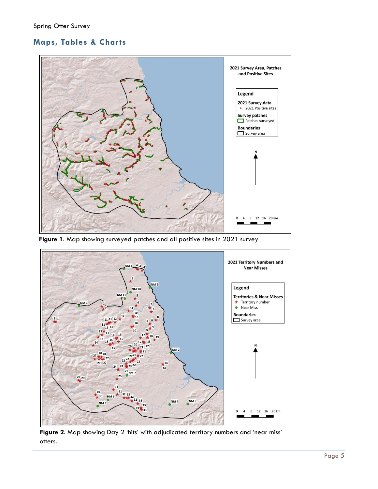## **Maps, Tables & Charts**



**Figure 1**. Map showing surveyed patches and all positive sites in 2021 survey



**Figure 2**. Map showing Day 2 'hits' with adjudicated territory numbers and 'near miss' otters.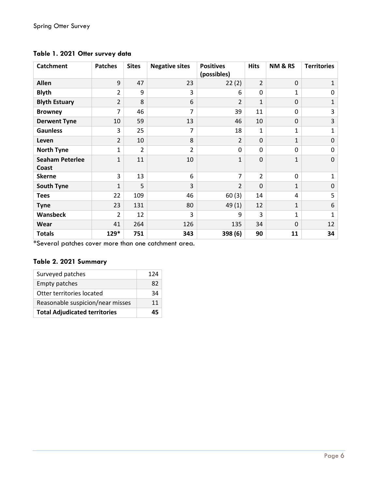| <b>Catchment</b>                | <b>Patches</b> | <b>Sites</b>   | <b>Negative sites</b> | <b>Positives</b><br>(possibles) | <b>Hits</b>    | <b>NM &amp; RS</b> | <b>Territories</b>      |
|---------------------------------|----------------|----------------|-----------------------|---------------------------------|----------------|--------------------|-------------------------|
| <b>Allen</b>                    | 9              | 47             | 23                    | 22(2)                           | $\overline{2}$ | $\mathbf 0$        | $\mathbf{1}$            |
| <b>Blyth</b>                    | $\overline{2}$ | 9              | 3                     | 6                               | 0              | $\mathbf{1}$       | 0                       |
| <b>Blyth Estuary</b>            | $\overline{2}$ | 8              | 6                     | $\overline{2}$                  | 1              | $\Omega$           | $\mathbf{1}$            |
| <b>Browney</b>                  | 7              | 46             | 7                     | 39                              | 11             | 0                  | 3                       |
| <b>Derwent Tyne</b>             | 10             | 59             | 13                    | 46                              | 10             | $\mathbf 0$        | $\overline{\mathbf{3}}$ |
| <b>Gaunless</b>                 | 3              | 25             | 7                     | 18                              | 1              | 1                  | $\mathbf{1}$            |
| Leven                           | $\overline{2}$ | 10             | 8                     | $\overline{2}$                  | $\mathbf 0$    | 1                  | $\mathbf 0$             |
| <b>North Tyne</b>               | 1              | $\overline{2}$ | $\overline{2}$        | $\Omega$                        | 0              | 0                  | 0                       |
| <b>Seaham Peterlee</b><br>Coast | 1              | 11             | 10                    | 1                               | 0              | $\mathbf{1}$       | $\mathbf 0$             |
| <b>Skerne</b>                   | 3              | 13             | 6                     | $\overline{7}$                  | $\overline{2}$ | 0                  | $\mathbf{1}$            |
| <b>South Tyne</b>               | $\mathbf{1}$   | 5              | 3                     | $\overline{2}$                  | $\mathbf 0$    | $\mathbf{1}$       | $\mathbf 0$             |
| <b>Tees</b>                     | 22             | 109            | 46                    | 60(3)                           | 14             | 4                  | 5                       |
| <b>Tyne</b>                     | 23             | 131            | 80                    | 49(1)                           | 12             | $\mathbf{1}$       | 6                       |
| <b>Wansbeck</b>                 | $\overline{2}$ | 12             | 3                     | 9                               | 3              | $\mathbf{1}$       | $\mathbf{1}$            |
| Wear                            | 41             | 264            | 126                   | 135                             | 34             | $\Omega$           | 12                      |
| <b>Totals</b>                   | 129*           | 751            | 343                   | 398 (6)                         | 90             | 11                 | 34                      |

## **Table 1. 2021 Otter survey data**

\*Several patches cover more than one catchment area.

### **Table 2. 2021 Summary**

| Surveyed patches                     | 174 |
|--------------------------------------|-----|
| <b>Empty patches</b>                 | 82  |
| Otter territories located            | 34  |
| Reasonable suspicion/near misses     | 11  |
| <b>Total Adjudicated territories</b> |     |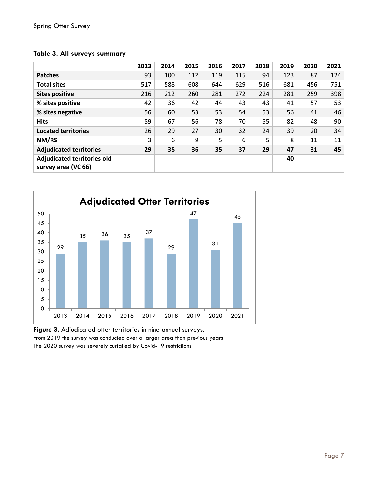|                                                           | 2013 | 2014 | 2015 | 2016 | 2017 | 2018 | 2019 | 2020 | 2021 |
|-----------------------------------------------------------|------|------|------|------|------|------|------|------|------|
| <b>Patches</b>                                            | 93   | 100  | 112  | 119  | 115  | 94   | 123  | 87   | 124  |
| <b>Total sites</b>                                        | 517  | 588  | 608  | 644  | 629  | 516  | 681  | 456  | 751  |
| <b>Sites positive</b>                                     | 216  | 212  | 260  | 281  | 272  | 224  | 281  | 259  | 398  |
| % sites positive                                          | 42   | 36   | 42   | 44   | 43   | 43   | 41   | 57   | 53   |
| % sites negative                                          | 56   | 60   | 53   | 53   | 54   | 53   | 56   | 41   | 46   |
| <b>Hits</b>                                               | 59   | 67   | 56   | 78   | 70   | 55   | 82   | 48   | 90   |
| <b>Located territories</b>                                | 26   | 29   | 27   | 30   | 32   | 24   | 39   | 20   | 34   |
| NM/RS                                                     | 3    | 6    | 9    | 5    | 6    | 5    | 8    | 11   | 11   |
| <b>Adjudicated territories</b>                            | 29   | 35   | 36   | 35   | 37   | 29   | 47   | 31   | 45   |
| <b>Adjudicated territories old</b><br>survey area (VC 66) |      |      |      |      |      |      | 40   |      |      |

#### **Table 3. All surveys summary**



**Figure 3.** Adjudicated otter territories in nine annual surveys. From 2019 the survey was conducted over a larger area than previous years The 2020 survey was severely curtailed by Covid-19 restrictions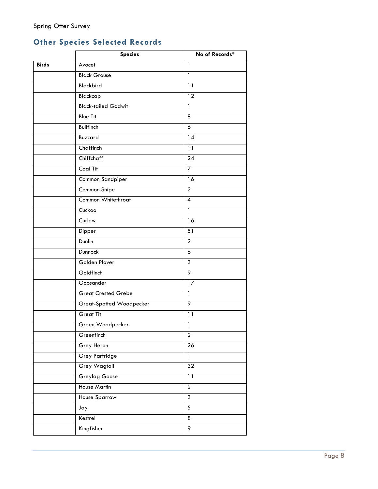## **Other Species Selected Records**

|              | <b>Species</b>             | No of Records*   |  |
|--------------|----------------------------|------------------|--|
| <b>Birds</b> | Avocet                     | 1                |  |
|              | <b>Black Grouse</b>        | $\mathbf{1}$     |  |
|              | <b>Blackbird</b>           | $\overline{11}$  |  |
|              | Blackcap                   | $\overline{12}$  |  |
|              | <b>Black-tailed Godwit</b> | 1                |  |
|              | <b>Blue Tit</b>            | 8                |  |
|              | <b>Bullfinch</b>           | 6                |  |
|              | Buzzard                    | 14               |  |
|              | Chaffinch                  | 11               |  |
|              | Chiffchaff                 | $\overline{24}$  |  |
|              | Coal Tit                   | 7                |  |
|              | Common Sandpiper           | 16               |  |
|              | Common Snipe               | $\overline{2}$   |  |
|              | Common Whitethroat         | $\overline{4}$   |  |
|              | Cuckoo                     | 1                |  |
|              | Curlew                     | 16               |  |
|              | Dipper                     | 51               |  |
|              | Dunlin                     | $\overline{2}$   |  |
|              | Dunnock                    | 6                |  |
|              | Golden Plover              | 3                |  |
|              | Goldfinch                  | 9                |  |
|              | Goosander                  | 17               |  |
|              | <b>Great Crested Grebe</b> | $\mathbf{1}$     |  |
|              | Great-Spotted Woodpecker   | 9                |  |
|              | <b>Great Tit</b>           | $\overline{11}$  |  |
|              | Green Woodpecker           | $\mathbf{1}$     |  |
|              | Greenfinch                 | $\boldsymbol{2}$ |  |
|              | Grey Heron                 | 26               |  |
|              | <b>Grey Partridge</b>      | $\mathbf{1}$     |  |
|              | <b>Grey Wagtail</b>        | 32               |  |
|              | <b>Greylag Goose</b>       | 11               |  |
|              | <b>House Martin</b>        | $\overline{2}$   |  |
|              | <b>House Sparrow</b>       | $\overline{3}$   |  |
|              | Jay                        | $\overline{5}$   |  |
|              | Kestrel                    | 8                |  |
|              | Kingfisher                 | 9                |  |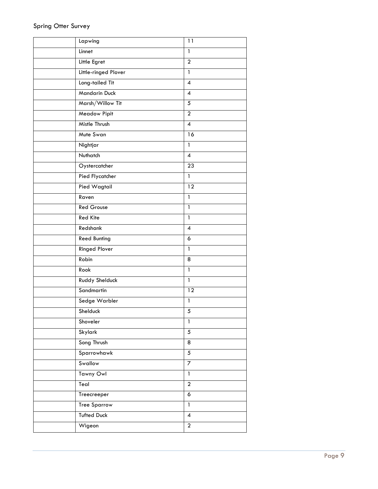| Lapwing              | 11                       |
|----------------------|--------------------------|
| Linnet               | $\mathbf{1}$             |
| Little Egret         | $\overline{2}$           |
| Little-ringed Plover | $\mathbf{1}$             |
| Long-tailed Tit      | $\overline{\mathcal{A}}$ |
| Mandarin Duck        | 4                        |
| Marsh/Willow Tit     | 5                        |
| Meadow Pipit         | $\overline{a}$           |
| Mistle Thrush        | $\overline{\mathcal{A}}$ |
| Mute Swan            | 16                       |
| Nightjar             | $\overline{1}$           |
| Nuthatch             | $\overline{\mathcal{A}}$ |
| Oystercatcher        | $\overline{23}$          |
| Pied Flycatcher      | $\mathbf{1}$             |
| Pied Wagtail         | 12                       |
| Raven                | $\mathbf{1}$             |
| <b>Red Grouse</b>    | $\mathbf{1}$             |
| <b>Red Kite</b>      | $\mathbf{1}$             |
| Redshank             | $\overline{\mathbf{4}}$  |
| <b>Reed Bunting</b>  | 6                        |
| <b>Ringed Plover</b> | $\mathbf{1}$             |
| Robin                | 8                        |
| Rook                 | $\mathbf{1}$             |
| Ruddy Shelduck       | $\mathbf{1}$             |
| Sandmartin           | 12                       |
| Sedge Warbler        | $\mathbf{1}$             |
| Shelduck             | 5                        |
| Shoveler             | $\mathbf{1}$             |
| Skylark              | $\overline{5}$           |
| Song Thrush          | $\overline{8}$           |
| Sparrowhawk          | $\overline{5}$           |
| Swallow              | $\overline{7}$           |
| Tawny Owl            | $\mathbf{1}$             |
| Teal                 | $\overline{2}$           |
| Treecreeper          | 6                        |
| <b>Tree Sparrow</b>  | $\mathbf{1}$             |
| <b>Tufted Duck</b>   | $\pmb{4}$                |
| Wigeon               | $\overline{2}$           |